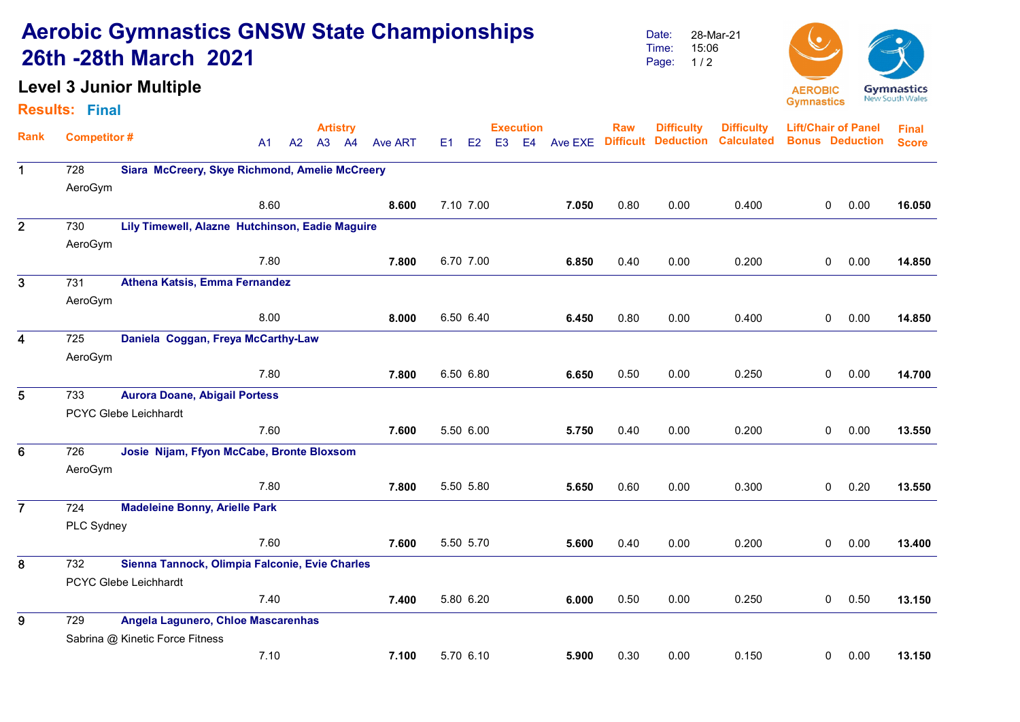## Aerobic Gymnastics GNSW State Championships 26th -28th March 2021

## Level 3 Junior Multiple

### Results: Final

Date: Time: Page: 28-Mar-21 15:06  $1/2$ 



|                         | <b>Competitor#</b>                                    |                                                |                | <b>Artistry</b> |       |                |           |    |                | <b>Execution</b> |         | <b>Raw</b>       | <b>Difficulty</b> | <b>Difficulty</b> | <b>Lift/Chair of Panel</b> |      | <b>Final</b> |
|-------------------------|-------------------------------------------------------|------------------------------------------------|----------------|-----------------|-------|----------------|-----------|----|----------------|------------------|---------|------------------|-------------------|-------------------|----------------------------|------|--------------|
| <b>Rank</b>             |                                                       |                                                | A <sub>1</sub> | A2              | A3 A4 | <b>Ave ART</b> | E1        | E2 | E <sub>3</sub> | E <sub>4</sub>   | Ave EXE | <b>Difficult</b> | <b>Deduction</b>  | <b>Calculated</b> | <b>Bonus Deduction</b>     |      | <b>Score</b> |
| $\mathbf 1$             | 728<br>Siara McCreery, Skye Richmond, Amelie McCreery |                                                |                |                 |       |                |           |    |                |                  |         |                  |                   |                   |                            |      |              |
|                         | AeroGym                                               |                                                |                |                 |       |                |           |    |                |                  |         |                  |                   |                   |                            |      |              |
|                         |                                                       |                                                | 8.60           |                 |       | 8.600          | 7.10 7.00 |    |                |                  | 7.050   | 0.80             | 0.00              | 0.400             | $\mathbf 0$                | 0.00 | 16.050       |
| $\overline{2}$          | 730                                                   |                                                |                |                 |       |                |           |    |                |                  |         |                  |                   |                   |                            |      |              |
|                         | AeroGym                                               |                                                |                |                 |       |                |           |    |                |                  |         |                  |                   |                   |                            |      |              |
|                         |                                                       |                                                | 7.80           |                 |       | 7.800          | 6.70 7.00 |    |                |                  | 6.850   | 0.40             | 0.00              | 0.200             | 0                          | 0.00 | 14.850       |
| $\overline{\mathbf{3}}$ | 731                                                   | <b>Athena Katsis, Emma Fernandez</b>           |                |                 |       |                |           |    |                |                  |         |                  |                   |                   |                            |      |              |
|                         | AeroGym                                               |                                                |                |                 |       |                |           |    |                |                  |         |                  |                   |                   |                            |      |              |
|                         |                                                       |                                                | 8.00           |                 |       | 8.000          | 6.50 6.40 |    |                |                  | 6.450   | 0.80             | 0.00              | 0.400             | $\mathbf 0$                | 0.00 | 14.850       |
| $\overline{\mathbf{4}}$ | 725                                                   | Daniela Coggan, Freya McCarthy-Law             |                |                 |       |                |           |    |                |                  |         |                  |                   |                   |                            |      |              |
|                         | AeroGym                                               |                                                |                |                 |       |                |           |    |                |                  |         |                  |                   |                   |                            |      |              |
|                         |                                                       |                                                | 7.80           |                 |       | 7.800          | 6.50 6.80 |    |                |                  | 6.650   | 0.50             | 0.00              | 0.250             | $\overline{0}$             | 0.00 | 14.700       |
| 5                       | 733                                                   | <b>Aurora Doane, Abigail Portess</b>           |                |                 |       |                |           |    |                |                  |         |                  |                   |                   |                            |      |              |
|                         |                                                       | PCYC Glebe Leichhardt                          |                |                 |       |                |           |    |                |                  |         |                  |                   |                   |                            |      |              |
|                         |                                                       |                                                | 7.60           |                 |       | 7.600          | 5.50 6.00 |    |                |                  | 5.750   | 0.40             | 0.00              | 0.200             | 0                          | 0.00 | 13.550       |
| 6                       | 726                                                   | Josie Nijam, Ffyon McCabe, Bronte Bloxsom      |                |                 |       |                |           |    |                |                  |         |                  |                   |                   |                            |      |              |
|                         | AeroGym                                               |                                                |                |                 |       |                |           |    |                |                  |         |                  |                   |                   |                            |      |              |
|                         |                                                       |                                                | 7.80           |                 |       | 7.800          | 5.50 5.80 |    |                |                  | 5.650   | 0.60             | 0.00              | 0.300             | 0                          | 0.20 | 13.550       |
| $\overline{7}$          | 724                                                   | <b>Madeleine Bonny, Arielle Park</b>           |                |                 |       |                |           |    |                |                  |         |                  |                   |                   |                            |      |              |
|                         | PLC Sydney                                            |                                                |                |                 |       |                |           |    |                |                  |         |                  |                   |                   |                            |      |              |
|                         |                                                       |                                                | 7.60           |                 |       | 7.600          | 5.50 5.70 |    |                |                  | 5.600   | 0.40             | 0.00              | 0.200             | 0                          | 0.00 | 13.400       |
| 8                       | 732                                                   | Sienna Tannock, Olimpia Falconie, Evie Charles |                |                 |       |                |           |    |                |                  |         |                  |                   |                   |                            |      |              |
|                         | PCYC Glebe Leichhardt                                 |                                                |                |                 |       |                |           |    |                |                  |         |                  |                   |                   |                            |      |              |
|                         |                                                       |                                                | 7.40           |                 |       | 7.400          | 5.80 6.20 |    |                |                  | 6.000   | 0.50             | 0.00              | 0.250             | $\mathbf 0$                | 0.50 | 13.150       |
| 9                       | 729                                                   | Angela Lagunero, Chloe Mascarenhas             |                |                 |       |                |           |    |                |                  |         |                  |                   |                   |                            |      |              |
|                         |                                                       | Sabrina @ Kinetic Force Fitness                |                |                 |       |                |           |    |                |                  |         |                  |                   |                   |                            |      |              |
|                         |                                                       |                                                | 7.10           |                 |       | 7.100          | 5.70 6.10 |    |                |                  | 5.900   | 0.30             | 0.00              | 0.150             | 0                          | 0.00 | 13.150       |